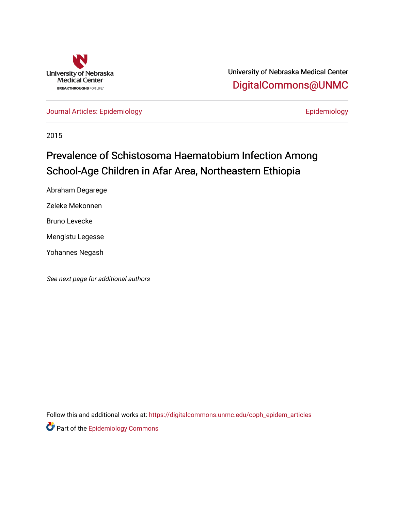

University of Nebraska Medical Center [DigitalCommons@UNMC](https://digitalcommons.unmc.edu/) 

[Journal Articles: Epidemiology](https://digitalcommons.unmc.edu/coph_epidem_articles) **Example 2018** Epidemiology

2015

# Prevalence of Schistosoma Haematobium Infection Among School-Age Children in Afar Area, Northeastern Ethiopia

Abraham Degarege

Zeleke Mekonnen

Bruno Levecke

Mengistu Legesse

Yohannes Negash

See next page for additional authors

Follow this and additional works at: [https://digitalcommons.unmc.edu/coph\\_epidem\\_articles](https://digitalcommons.unmc.edu/coph_epidem_articles?utm_source=digitalcommons.unmc.edu%2Fcoph_epidem_articles%2F129&utm_medium=PDF&utm_campaign=PDFCoverPages)

**Part of the Epidemiology Commons**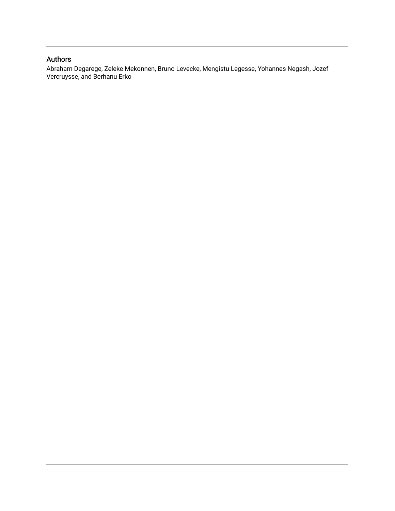# Authors

Abraham Degarege, Zeleke Mekonnen, Bruno Levecke, Mengistu Legesse, Yohannes Negash, Jozef Vercruysse, and Berhanu Erko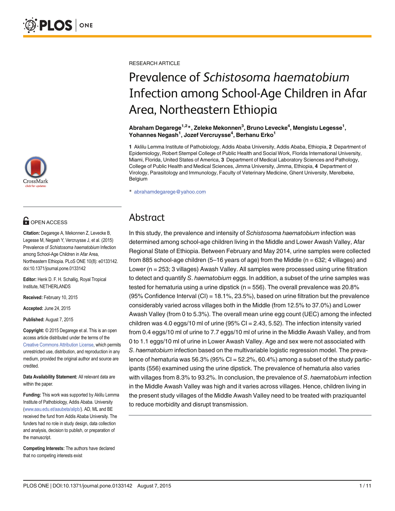

# **OPEN ACCESS**

Citation: Degarege A, Mekonnen Z, Levecke B, Legesse M, Negash Y, Vercruysse J, et al. (2015) Prevalence of Schistosoma haematobium Infection among School-Age Children in Afar Area, Northeastern Ethiopia. PLoS ONE 10(8): e0133142. doi:10.1371/journal.pone.0133142

Editor: Henk D. F. H. Schallig, Royal Tropical Institute, NETHERLANDS

Received: February 10, 2015

Accepted: June 24, 2015

Published: August 7, 2015

Copyright: © 2015 Degarege et al. This is an open access article distributed under the terms of the Creative Commons Attribution License, which permits unrestricted use, distribution, and reproduction in any medium, provided the original author and source are credited.

Data Availability Statement: All relevant data are within the paper.

Funding: This work was supported by Aklilu Lemma Institute of Pathobiology, Addis Ababa. University (www.aau.edu.et/aaubeta/alipb/). AD, ML and BE received the fund from Addis Ababa University. The funders had no role in study design, data collection and analysis, decision to publish, or preparation of the manuscript.

Competing Interests: The authors have declared that no competing interests exist

RESEARCH ARTICLE

# Prevalence of Schistosoma haematobium Infection among School-Age Children in Afar Area, Northeastern Ethiopia

Abraham Degarege $^{1,2}$ \*, Zeleke Mekonnen $^3$ , Bruno Levecke $^4$ , Mengistu Legesse $^1,$ Yohannes Negash<sup>1</sup>, Jozef Vercruysse<sup>4</sup>, Berhanu Erko<sup>1</sup>

1 Aklilu Lemma Institute of Pathobiology, Addis Ababa University, Addis Ababa, Ethiopia, 2 Department of Epidemiology, Robert Stempel College of Public Health and Social Work, Florida International University, Miami, Florida, United States of America, 3 Department of Medical Laboratory Sciences and Pathology, College of Public Health and Medical Sciences, Jimma University, Jimma, Ethiopia, 4 Department of Virology, Parasitology and Immunology, Faculty of Veterinary Medicine, Ghent University, Merelbeke, **Belgium** 

\* abrahamdegarege@yahoo.com

# Abstract

In this study, the prevalence and intensity of Schistosoma haematobium infection was determined among school-age children living in the Middle and Lower Awash Valley, Afar Regional State of Ethiopia. Between February and May 2014, urine samples were collected from 885 school-age children  $(5-16$  years of age) from the Middle  $(n = 632; 4$  villages) and Lower (n = 253; 3 villages) Awash Valley. All samples were processed using urine filtration to detect and quantify S. haematobium eggs. In addition, a subset of the urine samples was tested for hematuria using a urine dipstick ( $n = 556$ ). The overall prevalence was 20.8% (95% Confidence Interval (CI) =  $18.1\%$ , 23.5%), based on urine filtration but the prevalence considerably varied across villages both in the Middle (from 12.5% to 37.0%) and Lower Awash Valley (from 0 to 5.3%). The overall mean urine egg count (UEC) among the infected children was 4.0 eggs/10 ml of urine  $(95\%$  Cl = 2.43, 5.52). The infection intensity varied from 0.4 eggs/10 ml of urine to 7.7 eggs/10 ml of urine in the Middle Awash Valley, and from 0 to 1.1 eggs/10 ml of urine in Lower Awash Valley. Age and sex were not associated with S. haematobium infection based on the multivariable logistic regression model. The prevalence of hematuria was 56.3% (95% CI = 52.2%, 60.4%) among a subset of the study participants (556) examined using the urine dipstick. The prevalence of hematuria also varies with villages from 8.3% to 93.2%. In conclusion, the prevalence of S. haematobium infection in the Middle Awash Valley was high and it varies across villages. Hence, children living in the present study villages of the Middle Awash Valley need to be treated with praziquantel to reduce morbidity and disrupt transmission.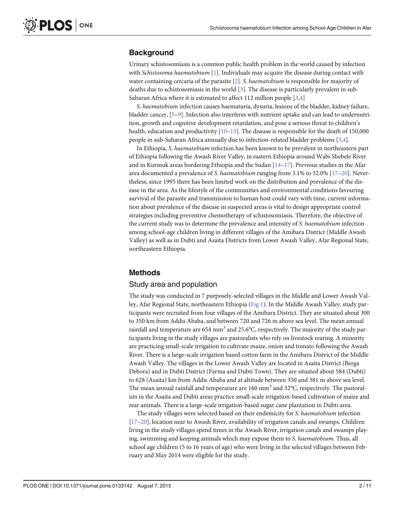## **Background**

Urinary schistosomiasis is a common public health problem in the world caused by infection with Schistosoma haematobium  $[1]$ . Individuals may acquire the disease during contact with water containing cercaria of the parasite  $[2]$ . S. haematobium is responsible for majority of deaths due to schistosomiasis in the world [3]. The disease is particularly prevalent in sub-Saharan Africa where it is estimated to affect 112 million people  $[3,4]$ 

S. haematobium infection causes haematuria, dysuria, lesions of the bladder, kidney failure, bladder cancer, [5–9]. Infection also interferes with nutrient uptake and can lead to undernutrition, growth and cognitive development retardation, and pose a serious threat to children's health, education and productivity  $[10-13]$ . The disease is responsible for the death of 150,000 people in sub-Saharan Africa annually due to infection-related bladder problems [3,4].

In Ethiopia, S. haematobium infection has been known to be prevalent in northeastern part of Ethiopia following the Awash River Valley, in eastern Ethiopia around Wabi Shebele River and in Kurmuk areas bordering Ethiopia and the Sudan [14–17]. Previous studies in the Afar area documented a prevalence of S. haematobium ranging from 3.1% to 52.0% [17–20]. Nevertheless, since 1995 there has been limited work on the distribution and prevalence of the disease in the area. As the lifestyle of the communities and environmental conditions favouring survival of the parasite and transmission to human host could vary with time, current information about prevalence of the disease in suspected areas is vital to design appropriate control strategies including preventive chemotherapy of schistosomiasis. Therefore, the objective of the current study was to determine the prevalence and intensity of S. haematobium infection among school-age children living in different villages of the Amibara District (Middle Awash Valley) as well as in Dubti and Asaita Districts from Lower Awash Valley, Afar Regional State, northeastern Ethiopia.

#### Methods

#### Study area and population

The study was conducted in 7 purposely-selected villages in the Middle and Lower Awash Valley, Afar Regional State, northeastern Ethiopia (Fig 1). In the Middle Awash Valley, study participants were recruited from four villages of the Amibara District. They are situated about 300 to 350 km from Addis Ababa, and between 720 and 726 m above sea level. The mean annual rainfall and temperature are 654  $\text{mm}^3$  and 25.6°C, respectively. The majority of the study participants living in the study villages are pastoralists who rely on livestock rearing. A minority are practicing small-scale irrigation to cultivate maize, onion and tomato following the Awash River. There is a large-scale irrigation based cotton farm in the Amibara District of the Middle Awash Valley. The villages in the Lower Awash Valley are located in Asaita District (Berga Debora) and in Dubti District (Farma and Dubti Town). They are situated about 584 (Dubti) to 628 (Asaita) km from Addis Ababa and at altitude between 350 and 381 m above sea level. The mean annual rainfall and temperature are 160  $\mathrm{mm}^3$  and 32°C, respectively. The pastoralists in the Asaita and Dubti areas practice small-scale irrigation-based cultivation of maize and rear animals. There is a large-scale irrigation-based sugar cane plantation in Dubti area.

The study villages were selected based on their endemicity for S. haematobium infection [17–20], location near to Awash River, availability of irrigation canals and swamps. Children living in the study villages spend times in the Awash River, irrigation canals and swamps playing, swimming and keeping animals which may expose them to S. haematobium. Thus, all school age children (5 to 16 years of age) who were living in the selected villages between February and May 2014 were eligible for the study.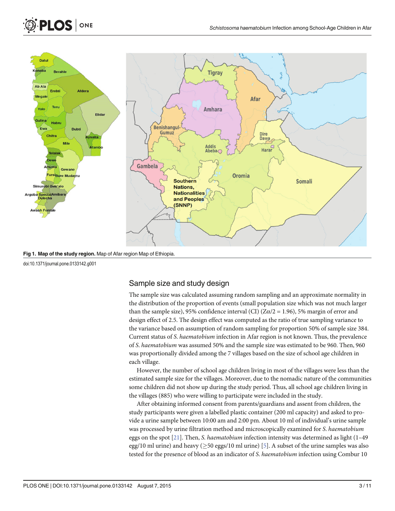

Fig 1. Map of the study region. Map of Afar region Map of Ethiopia.

ONE

**PLOS** I

doi:10.1371/journal.pone.0133142.g001

#### Sample size and study design

The sample size was calculated assuming random sampling and an approximate normality in the distribution of the proportion of events (small population size which was not much larger than the sample size), 95% confidence interval (CI) ( $Z\alpha/2 = 1.96$ ), 5% margin of error and design effect of 2.5. The design effect was computed as the ratio of true sampling variance to the variance based on assumption of random sampling for proportion 50% of sample size 384. Current status of S. haematobium infection in Afar region is not known. Thus, the prevalence of S. haematobium was assumed 50% and the sample size was estimated to be 960. Then, 960 was proportionally divided among the 7 villages based on the size of school age children in each village.

However, the number of school age children living in most of the villages were less than the estimated sample size for the villages. Moreover, due to the nomadic nature of the communities some children did not show up during the study period. Thus, all school age children living in the villages (885) who were willing to participate were included in the study.

After obtaining informed consent from parents/guardians and assent from children, the study participants were given a labelled plastic container (200 ml capacity) and asked to provide a urine sample between 10:00 am and 2:00 pm. About 10 ml of individual's urine sample was processed by urine filtration method and microscopically examined for S. haematobium eggs on the spot  $[21]$ . Then, S. haematobium infection intensity was determined as light (1–49) egg/10 ml urine) and heavy ( $\geq$ 50 eggs/10 ml urine) [5]. A subset of the urine samples was also tested for the presence of blood as an indicator of S. haematobium infection using Combur 10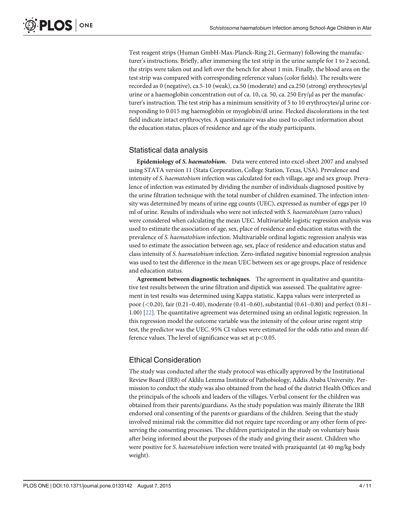Test reagent strips (Human GmbH-Max-Planck-Ring 21, Germany) following the manufacturer's instructions. Briefly, after immersing the test strip in the urine sample for 1 to 2 second, the strips were taken out and left over the bench for about 1 min. Finally, the blood area on the test strip was compared with corresponding reference values (color fields). The results were recorded as 0 (negative), ca.5-10 (weak), ca.50 (moderate) and ca.250 (strong) erythrocytes/μl urine or a haemoglobin concentration out of ca. 10, ca. 50, ca. 250 Ery/ $\mu$ l as per the manufacturer's instruction. The test strip has a minimum sensitivity of 5 to 10 erythrocytes/μl urine corresponding to 0.015 mg haemoglobin or myoglobin/dl urine. Flecked discolorations in the test field indicate intact erythrocytes. A questionnaire was also used to collect information about the education status, places of residence and age of the study participants.

#### Statistical data analysis

Epidemiology of S. haematobium. Data were entered into excel-sheet 2007 and analysed using STATA version 11 (Stata Corporation, College Station, Texas, USA). Prevalence and intensity of S. haematobium infection was calculated for each village, age and sex group. Prevalence of infection was estimated by dividing the number of individuals diagnosed positive by the urine filtration technique with the total number of children examined. The infection intensity was determined by means of urine egg counts (UEC), expressed as number of eggs per 10 ml of urine. Results of individuals who were not infected with S. haematobium (zero values) were considered when calculating the mean UEC. Multivariable logistic regression analysis was used to estimate the association of age, sex, place of residence and education status with the prevalence of S. haematobium infection. Multivariable ordinal logistic regression analysis was used to estimate the association between age, sex, place of residence and education status and class intensity of S. haematobium infection. Zero-inflated negative binomial regression analysis was used to test the difference in the mean UEC between sex or age groups, place of residence and education status.

Agreement between diagnostic techniques. The agreement in qualitative and quantitative test results between the urine filtration and dipstick was assessed. The qualitative agreement in test results was determined using Kappa statistic. Kappa values were interpreted as poor (<0.20), fair (0.21–0.40), moderate (0.41–0.60), substantial (0.61–0.80) and perfect (0.81– 1.00) [22]. The quantitative agreement was determined using an ordinal logistic regression. In this regression model the outcome variable was the intensity of the colour urine regent strip test, the predictor was the UEC. 95% CI values were estimated for the odds ratio and mean difference values. The level of significance was set at  $p<0.05$ .

#### Ethical Consideration

The study was conducted after the study protocol was ethically approved by the Institutional Review Board (IRB) of Aklilu Lemma Institute of Pathobiology, Addis Ababa University. Permission to conduct the study was also obtained from the head of the district Health Offices and the principals of the schools and leaders of the villages. Verbal consent for the children was obtained from their parents/guardians. As the study population was mainly illiterate the IRB endorsed oral consenting of the parents or guardians of the children. Seeing that the study involved minimal risk the committee did not require tape recording or any other form of preserving the consenting processes. The children participated in the study on voluntary basis after being informed about the purposes of the study and giving their assent. Children who were positive for S. haematobium infection were treated with praziquantel (at 40 mg/kg body weight).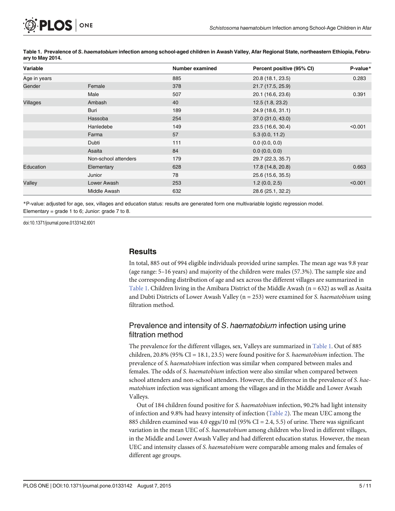

| Variable     |                      | Number examined | Percent positive (95% CI) | P-value* |
|--------------|----------------------|-----------------|---------------------------|----------|
| Age in years |                      | 885             | 20.8 (18.1, 23.5)         | 0.283    |
| Gender       | Female               | 378             | 21.7 (17.5, 25.9)         |          |
|              | Male                 | 507             | 20.1 (16.6, 23.6)         | 0.391    |
| Villages     | Ambash               | 40              | 12.5(1.8, 23.2)           |          |
|              | Buri                 | 189             | 24.9 (18.6, 31.1)         |          |
|              | Hassoba              | 254             | 37.0 (31.0, 43.0)         |          |
|              | Hanledebe            | 149             | 23.5 (16.6, 30.4)         | < 0.001  |
|              | Farma                | 57              | 5.3(0.0, 11.2)            |          |
|              | Dubti                | 111             | 0.0(0.0, 0.0)             |          |
|              | Asaita               | 84              | 0.0(0.0, 0.0)             |          |
|              | Non-school attenders | 179             | 29.7 (22.3, 35.7)         |          |
| Education    | Elementary           | 628             | 17.8 (14.8, 20.8)         | 0.663    |
|              | Junior               | 78              | 25.6 (15.6, 35.5)         |          |
| Valley       | Lower Awash          | 253             | 1.2(0.0, 2.5)             | < 0.001  |
|              | Middle Awash         | 632             | 28.6 (25.1, 32.2)         |          |

#### Table 1. Prevalence of S. haematobium infection among school-aged children in Awash Valley, Afar Regional State, northeastern Ethiopia, February to May 2014.

\*P-value: adjusted for age, sex, villages and education status: results are generated form one multivariable logistic regression model. Elementary = grade 1 to 6; Junior: grade 7 to 8.

doi:10.1371/journal.pone.0133142.t001

### **Results**

In total, 885 out of 994 eligible individuals provided urine samples. The mean age was 9.8 year (age range: 5–16 years) and majority of the children were males (57.3%). The sample size and the corresponding distribution of age and sex across the different villages are summarized in Table 1. Children living in the Amibara District of the Middle Awash ( $n = 632$ ) as well as Asaita and Dubti Districts of Lower Awash Valley ( $n = 253$ ) were examined for S. haematobium using filtration method.

## Prevalence and intensity of S. haematobium infection using urine filtration method

The prevalence for the different villages, sex, Valleys are summarized in Table 1. Out of 885 children, 20.8% (95% CI = 18.1, 23.5) were found positive for S. haematobium infection. The prevalence of S. haematobium infection was similar when compared between males and females. The odds of S. haematobium infection were also similar when compared between school attenders and non-school attenders. However, the difference in the prevalence of S. haematobium infection was significant among the villages and in the Middle and Lower Awash Valleys.

Out of 184 children found positive for S. haematobium infection, 90.2% had light intensity of infection and 9.8% had heavy intensity of infection (Table 2). The mean UEC among the 885 children examined was 4.0 eggs/10 ml (95% CI = 2.4, 5.5) of urine. There was significant variation in the mean UEC of S. haematobium among children who lived in different villages, in the Middle and Lower Awash Valley and had different education status. However, the mean UEC and intensity classes of S. haematobium were comparable among males and females of different age groups.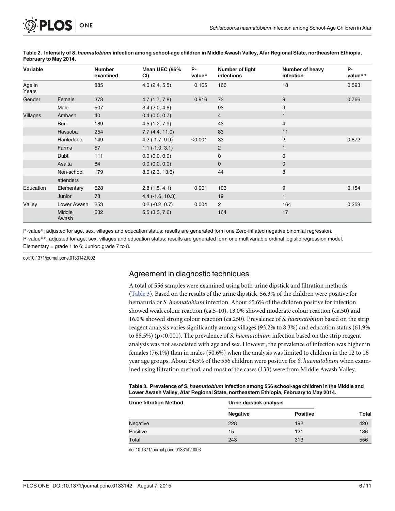

| Variable        |                 | <b>Number</b><br>examined | Mean UEC (95%<br>CI)      | <b>P-</b><br>value* | Number of light<br><b>infections</b> | Number of heavy<br>infection | <b>P-</b><br>value** |
|-----------------|-----------------|---------------------------|---------------------------|---------------------|--------------------------------------|------------------------------|----------------------|
| Age in<br>Years |                 | 885                       | 4.0(2.4, 5.5)             | 0.165               | 166                                  | 18                           | 0.593                |
| Gender          | Female          | 378                       | 4.7(1.7, 7.8)             | 0.916               | 73                                   | 9                            | 0.766                |
|                 | Male            | 507                       | 3.4(2.0, 4.8)             |                     | 93                                   | 9                            |                      |
| Villages        | Ambash          | 40                        | 0.4(0.0, 0.7)             |                     | $\overline{4}$                       | 1                            |                      |
|                 | Buri            | 189                       | 4.5(1.2, 7.9)             |                     | 43                                   | 4                            |                      |
|                 | Hassoba         | 254                       | 7.7(4.4, 11.0)            |                     | 83                                   | 11                           |                      |
|                 | Hanledebe       | 149                       | $4.2$ (-1.7, 9.9)         | < 0.001             | 33                                   | 2                            | 0.872                |
|                 | Farma           | 57                        | $1.1$ ( $-1.0$ , $3.1$ )  |                     | $\overline{c}$                       | $\mathbf{1}$                 |                      |
|                 | Dubti           | 111                       | 0.0(0.0, 0.0)             |                     | $\mathbf 0$                          | $\mathbf 0$                  |                      |
|                 | Asaita          | 84                        | 0.0(0.0, 0.0)             |                     | $\mathbf 0$                          | $\mathbf 0$                  |                      |
|                 | Non-school      | 179                       | 8.0(2.3, 13.6)            |                     | 44                                   | 8                            |                      |
|                 | attenders       |                           |                           |                     |                                      |                              |                      |
| Education       | Elementary      | 628                       | 2.8(1.5, 4.1)             | 0.001               | 103                                  | 9                            | 0.154                |
|                 | Junior          | 78                        | $4.4$ ( $-1.6$ , $10.3$ ) |                     | 19                                   | $\mathbf{1}$                 |                      |
| Valley          | Lower Awash     | 253                       | $0.2$ (-0.2, 0.7)         | 0.004               | $\overline{2}$                       | 164                          | 0.258                |
|                 | Middle<br>Awash | 632                       | 5.5(3.3, 7.6)             |                     | 164                                  | 17                           |                      |

Table 2. Intensity of S. haematobium infection among school-age children in Middle Awash Valley, Afar Regional State, northeastern Ethiopia, February to May 2014.

P-value\*: adjusted for age, sex, villages and education status: results are generated form one Zero-inflated negative binomial regression. P-value\*\*: adjusted for age, sex, villages and education status: results are generated form one multivariable ordinal logistic regression model. Elementary = grade 1 to 6; Junior: grade 7 to 8.

doi:10.1371/journal.pone.0133142.t002

# Agreement in diagnostic techniques

A total of 556 samples were examined using both urine dipstick and filtration methods (Table 3). Based on the results of the urine dipstick, 56.3% of the children were positive for hematuria or S. haematobium infection. About 65.6% of the children positive for infection showed weak colour reaction (ca.5-10), 13.0% showed moderate colour reaction (ca.50) and 16.0% showed strong colour reaction (ca.250). Prevalence of S. haematobium based on the strip reagent analysis varies significantly among villages (93.2% to 8.3%) and education status (61.9% to 88.5%) ( $p < 0.001$ ). The prevalence of S. haematobium infection based on the strip reagent analysis was not associated with age and sex. However, the prevalence of infection was higher in females (76.1%) than in males (50.6%) when the analysis was limited to children in the 12 to 16 year age groups. About 24.5% of the 556 children were positive for S. haematobium when examined using filtration method, and most of the cases (133) were from Middle Awash Valley.

| Table 3. Prevalence of S. haematobium infection among 556 school-age children in the Middle and |  |
|-------------------------------------------------------------------------------------------------|--|
| Lower Awash Valley, Afar Regional State, northeastern Ethiopia, February to May 2014.           |  |

| <b>Urine filtration Method</b> | Urine dipstick analysis |                 |       |  |
|--------------------------------|-------------------------|-----------------|-------|--|
|                                | <b>Negative</b>         | <b>Positive</b> | Total |  |
| Negative                       | 228                     | 192             | 420   |  |
| Positive                       | 15                      | 121             | 136   |  |
| Total                          | 243                     | 313             | 556   |  |

doi:10.1371/journal.pone.0133142.t003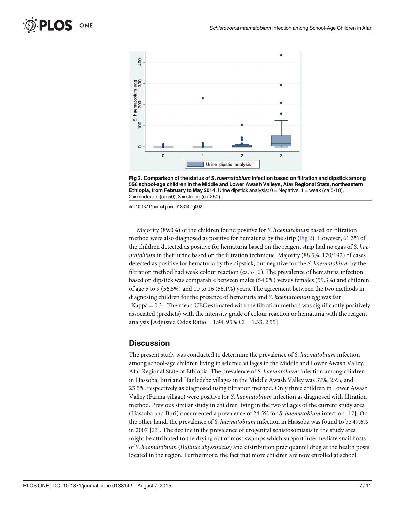



doi:10.1371/journal.pone.0133142.g002

Majority (89.0%) of the children found positive for S. haematobium based on filtration method were also diagnosed as positive for hematuria by the strip (Fig 2). However, 61.3% of the children detected as positive for hematuria based on the reagent strip had no eggs of S. haematobium in their urine based on the filtration technique. Majority (88.5%, 170/192) of cases detected as positive for hematuria by the dipstick, but negative for the S. haematobium by the filtration method had weak colour reaction (ca.5-10). The prevalence of hematuria infection based on dipstick was comparable between males (54.0%) versus females (59.3%) and children of age 5 to 9 (56.5%) and 10 to 16 (56.1%) years. The agreement between the two methods in diagnosing children for the presence of hematuria and S. haematobium egg was fair [Kappa = 0.3]. The mean UEC estimated with the filtration method was significantly positively associated (predicts) with the intensity grade of colour reaction or hematuria with the reagent analysis [Adjusted Odds Ratio = 1.94, 95% CI = 1.33, 2.55].

#### **Discussion**

The present study was conducted to determine the prevalence of S. haematobium infection among school-age children living in selected villages in the Middle and Lower Awash Valley, Afar Regional State of Ethiopia. The prevalence of S. haematobium infection among children in Hassoba, Buri and Hanledebe villages in the Middle Awash Valley was 37%, 25%, and 23.5%, respectively as diagnosed using filtration method. Only three children in Lower Awash Valley (Farma village) were positive for S. haematobium infection as diagnosed with filtration method. Previous similar study in children living in the two villages of the current study area (Hassoba and Buri) documented a prevalence of 24.5% for S. haematobium infection [17]. On the other hand, the prevalence of S. haematobium infection in Hassoba was found to be 47.6% in 2007 [23]. The decline in the prevalence of urogenital schistosomiasis in the study area might be attributed to the drying out of most swamps which support intermediate snail hosts of S. haematobium (Bulinus abyssinicus) and distribution praziquantel drug at the health posts located in the region. Furthermore, the fact that more children are now enrolled at school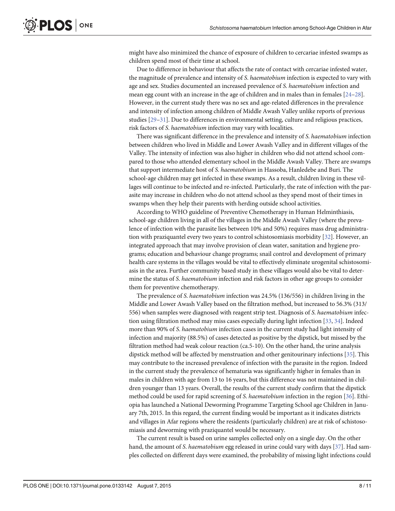might have also minimized the chance of exposure of children to cercariae infested swamps as children spend most of their time at school.

Due to difference in behaviour that affects the rate of contact with cercariae infested water, the magnitude of prevalence and intensity of S. haematobium infection is expected to vary with age and sex. Studies documented an increased prevalence of S. haematobium infection and mean egg count with an increase in the age of children and in males than in females  $[24-28]$ . However, in the current study there was no sex and age-related differences in the prevalence and intensity of infection among children of Middle Awash Valley unlike reports of previous studies [29–31]. Due to differences in environmental setting, culture and religious practices, risk factors of S. haematobium infection may vary with localities.

There was significant difference in the prevalence and intensity of S. *haematobium* infection between children who lived in Middle and Lower Awash Valley and in different villages of the Valley. The intensity of infection was also higher in children who did not attend school compared to those who attended elementary school in the Middle Awash Valley. There are swamps that support intermediate host of S. haematobium in Hassoba, Hanledebe and Buri. The school-age children may get infected in these swamps. As a result, children living in these villages will continue to be infected and re-infected. Particularly, the rate of infection with the parasite may increase in children who do not attend school as they spend most of their times in swamps when they help their parents with herding outside school activities.

According to WHO guideline of Preventive Chemotherapy in Human Helminthiasis, school-age children living in all of the villages in the Middle Awash Valley (where the prevalence of infection with the parasite lies between 10% and 50%) requires mass drug administration with praziquantel every two years to control schistosomiasis morbidity [32]. However, an integrated approach that may involve provision of clean water, sanitation and hygiene programs; education and behaviour change programs; snail control and development of primary health care systems in the villages would be vital to effectively eliminate urogenital schistosomiasis in the area. Further community based study in these villages would also be vital to determine the status of S. *haematobium* infection and risk factors in other age groups to consider them for preventive chemotherapy.

The prevalence of S. haematobium infection was 24.5% (136/556) in children living in the Middle and Lower Awash Valley based on the filtration method, but increased to 56.3% (313/ 556) when samples were diagnosed with reagent strip test. Diagnosis of S. haematobium infection using filtration method may miss cases especially during light infection [33, 34]. Indeed more than 90% of S. haematobium infection cases in the current study had light intensity of infection and majority (88.5%) of cases detected as positive by the dipstick, but missed by the filtration method had weak colour reaction (ca.5-10). On the other hand, the urine analysis dipstick method will be affected by menstruation and other genitourinary infections [35]. This may contribute to the increased prevalence of infection with the parasite in the region. Indeed in the current study the prevalence of hematuria was significantly higher in females than in males in children with age from 13 to 16 years, but this difference was not maintained in children younger than 13 years. Overall, the results of the current study confirm that the dipstick method could be used for rapid screening of S. *haematobium* infection in the region [36]. Ethiopia has launched a National Deworming Programme Targeting School age Children in January 7th, 2015. In this regard, the current finding would be important as it indicates districts and villages in Afar regions where the residents (particularly children) are at risk of schistosomiasis and deworming with praziquantel would be necessary.

The current result is based on urine samples collected only on a single day. On the other hand, the amount of S. haematobium egg released in urine could vary with days [37]. Had samples collected on different days were examined, the probability of missing light infections could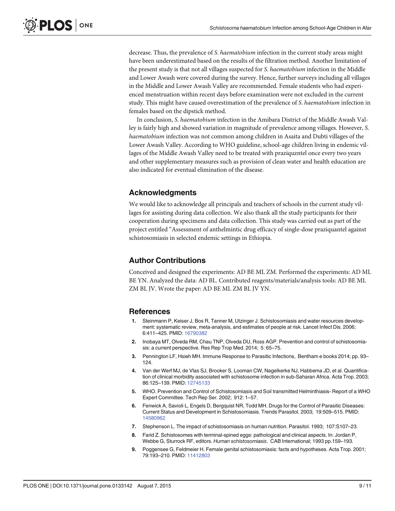decrease. Thus, the prevalence of S. haematobium infection in the current study areas might have been underestimated based on the results of the filtration method. Another limitation of the present study is that not all villages suspected for S. haematobium infection in the Middle and Lower Awash were covered during the survey. Hence, further surveys including all villages in the Middle and Lower Awash Valley are recommended. Female students who had experienced menstruation within recent days before examination were not excluded in the current study. This might have caused overestimation of the prevalence of S. haematobium infection in females based on the dipstick method.

In conclusion, S. haematobium infection in the Amibara District of the Middle Awash Valley is fairly high and showed variation in magnitude of prevalence among villages. However, S. haematobium infection was not common among children in Asaita and Dubti villages of the Lower Awash Valley. According to WHO guideline, school-age children living in endemic villages of the Middle Awash Valley need to be treated with praziquzntel once every two years and other supplementary measures such as provision of clean water and health education are also indicated for eventual elimination of the disease.

#### Acknowledgments

We would like to acknowledge all principals and teachers of schools in the current study villages for assisting during data collection. We also thank all the study participants for their cooperation during specimens and data collection. This study was carried out as part of the project entitled "Assessment of anthelmintic drug efficacy of single-dose praziquantel against schistosomiasis in selected endemic settings in Ethiopia.

#### Author Contributions

Conceived and designed the experiments: AD BE ML ZM. Performed the experiments: AD ML BE YN. Analyzed the data: AD BL. Contributed reagents/materials/analysis tools: AD BE ML ZM BL JV. Wrote the paper: AD BE ML ZM BL JV YN.

#### References

- 1. Steinmann P, Keiser J, Bos R, Tanner M, Utzinger J. Schistosomiasis and water resources development: systematic review, meta-analysis, and estimates of people at risk. Lancet Infect Dis. 2006; 6:411–425. PMID: 16790382
- 2. Inobaya MT, Olveda RM, Chau TNP, Olveda DU, Ross AGP. Prevention and control of schistosomiasis: a current perspective. Res Rep Trop Med. 2014; 5: 65–75.
- 3. Pennington LF, Hsieh MH. Immune Response to Parasitic Infections, Bentham e books 2014; pp. 93– 124.
- 4. Van der Werf MJ, de Vlas SJ, Brooker S, Looman CW, Nagelkerke NJ, Habbema JD, et al. Quantification of clinical morbidity associated with schistosome infection in sub-Saharan Africa. Acta Trop. 2003; 86:125–139. PMID: 12745133
- 5. WHO. Prevention and Control of Schistosomiasis and Soil transmitted Helminthiasis- Report of a WHO Expert Committee. Tech Rep Ser. 2002; 912: 1–57.
- 6. Fenwick A, Savioli L, Engels D, Bergquist NR, Todd MH. Drugs for the Control of Parasitic Diseases: Current Status and Development in Schistosomiasis. Trends Parasitol. 2003; 19:509–515. PMID: 14580962
- 7. Stephenson L. The impact of schistosomiasis on human nutrition. Parasitol. 1993; 107:S107–23.
- 8. Farid Z. Schistosomes with terminal-spined eggs: pathological and clinical aspects. In: Jordan P, Webbe G, Sturrock RF, editors. Human schistosomiasis. CAB International; 1993 pp.159–193.
- 9. Poggensee G, Feldmeier H. Female genital schistosomiasis: facts and hypotheses. Acta Trop. 2001; 79:193–210. PMID: 11412803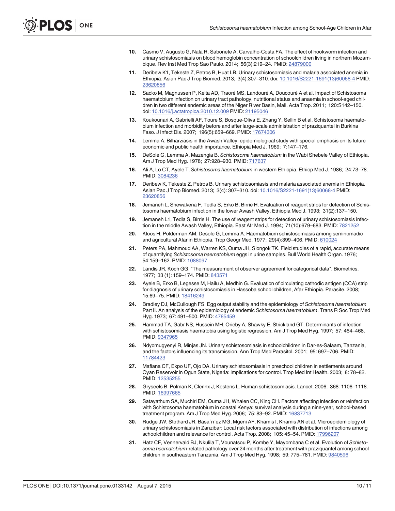- 10. Casmo V, Augusto G, Nala R, Sabonete A, Carvalho-Costa FA. The effect of hookworm infection and urinary schistosomiasis on blood hemoglobin concentration of schoolchildren living in northern Mozambique. Rev Inst Med Trop Sao Paulo. 2014; 56(3):219–24. PMID: 24879000
- 11. Deribew K1, Tekeste Z, Petros B, Huat LB. Urinary schistosomiasis and malaria associated anemia in Ethiopia. Asian Pac J Trop Biomed. 2013; 3(4):307–310. doi: 10.1016/S2221-1691(13)60068-4 PMID: 23620856
- 12. Sacko M, Magnussen P, Keita AD, Traoré MS, Landouré A, Doucouré A et al. Impact of Schistosoma haematobium infection on urinary tract pathology, nutritional status and anaemia in school-aged children in two different endemic areas of the Niger River Basin, Mali. Acta Trop. 2011; 120:S142–150. doi: 10.1016/j.actatropica.2010.12.009 PMID: 21195046
- 13. Koukounari A, Gabrielli AF, Toure S, Bosque-Oliva E, Zhang Y, Sellin B et al. Schistosoma haematobium infection and morbidity before and after large-scale administration of praziquantel in Burkina Faso. J Infect Dis. 2007; 196(5):659–669. PMID: 17674306
- 14. Lemma A. Bilharziasis in the Awash Valley: epidemiological study with special emphasis on its future economic and public health importance. Ethiopia Med J. 1969; 7:147–176.
- 15. DeSole G, Lemma A, Mazengia B. Schistosoma haematobium in the Wabi Shebele Valley of Ethiopia. Am J Trop Med Hyg. 1978; 27:928-930. PMID: 717637
- 16. Ali A, Lo CT, Ayele T. Schistosoma haematobium in western Ethiopia. Ethiop Med J. 1986; 24:73–78. PMID: 3084236
- 17. Deribew K, Tekeste Z, Petros B. Urinary schistosomiasis and malaria associated anemia in Ethiopia. Asian Pac J Trop Biomed. 2013; 3(4): 307–310. doi: 10.1016/S2221-1691(13)60068-4 PMID: 23620856
- 18. Jemaneh L, Shewakena F, Tedla S, Erko B, Birrie H. Evaluation of reagent strips for detection of Schistosoma haematobium infection in the lower Awash Valley. Ethiopia Med J. 1993; 31(2):137–150.
- 19. Jemaneh L1, Tedla S, Birrie H. The use of reagent strips for detection of urinary schistosomiasis infection in the middle Awash Valley, Ethiopia. East Afr Med J. 1994; 71(10):679–683. PMID: 7821252
- 20. Kloos H, Polderman AM, Desole G, Lemma A. Haematobium schistosomiasis among seminomadic and agricultural Afar in Ethiopia. Trop Geogr Med. 1977; 29(4):399–406. PMID: 610024
- 21. Peters PA, Mahmoud AA, Warren KS, Ouma JH, Siongok TK. Field studies of a rapid, accurate means of quantifying Schistosoma haematobium eggs in urine samples. Bull World Health Organ. 1976; 54:159–162. PMID: 1088097
- 22. Landis JR, Koch GG. "The measurement of observer agreement for categorical data". Biometrics. 1977; 33 (1): 159–174. PMID: 843571
- 23. Ayele B, Erko B, Legesse M, Hailu A, Medhin G. Evaluation of circulating cathodic antigen (CCA) strip for diagnosis of urinary schistosomiasis in Hassoba school children, Afar Ethiopia. Parasite. 2008; 15:69–75. PMID: 18416249
- 24. Bradley DJ, McCullough FS. Egg output stability and the epidemiology of Schistosoma haematobium Part II. An analysis of the epidemiology of endemic Schistosoma haematobium. Trans R Soc Trop Med Hyg. 1973; 67: 491-500. PMID: 4785459
- 25. Hammad TA, Gabr NS, Hussein MH, Orieby A, Shawky E, Strickland GT. Determinants of infection with schistosomiasis haematobia using logistic regression. Am J Trop Med Hyg. 1997; 57: 464–468. PMID: 9347965
- 26. Ndyomugyenyi R, Minjas JN. Urinary schistosomiasis in schoolchildren in Dar-es-Salaam, Tanzania, and the factors influencing its transmission. Ann Trop Med Parasitol. 2001; 95: 697–706. PMID: 11784423
- 27. Mafiana CF, Ekpo UF, Ojo DA. Urinary schistosomiasis in preschool children in settlements around Oyan Reservoir in Ogun State, Nigeria: implications for control. Trop Med Int Health. 2003; 8: 78–82. PMID: 12535255
- 28. Gryseels B, Polman K, Clerinx J, Kestens L. Human schistosomiasis. Lancet. 2006; 368: 1106–1118. PMID: 16997665
- 29. Satayathum SA, Muchiri EM, Ouma JH, Whalen CC, King CH. Factors affecting infection or reinfection with Schistosoma haematobium in coastal Kenya: survival analysis during a nine-year, school-based treatment program. Am J Trop Med Hyg. 2006; 75: 83–92. PMID: 16837713
- 30. Rudge JW, Stothard JR, Basa'n ez MG, Mgeni AF, Khamis I, Khamis AN et al. Microepidemiology of urinary schistosomiasis in Zanzibar: Local risk factors associated with distribution of infections among schoolchildren and relevance for control. Acta Trop. 2008; 105: 45–54. PMID: 17996207
- 31. Hatz CF, Vennervald BJ, Nkulila T, Vounatsou P, Kombe Y, Mayombana C et al. Evolution of Schistosoma haematobium-related pathology over 24 months after treatment with praziquantel among school children in southeastern Tanzania. Am J Trop Med Hyg. 1998; 59: 775–781. PMID: 9840596